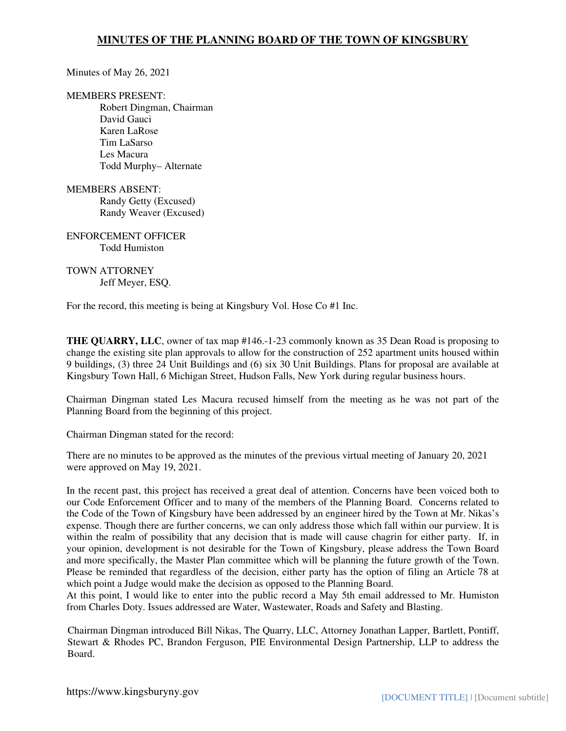### Minutes of May 26, 2021

#### MEMBERS PRESENT:

Robert Dingman, Chairman David Gauci Karen LaRose Tim LaSarso Les Macura Todd Murphy– Alternate

### MEMBERS ABSENT: Randy Getty (Excused) Randy Weaver (Excused)

ENFORCEMENT OFFICER Todd Humiston

#### TOWN ATTORNEY Jeff Meyer, ESQ.

For the record, this meeting is being at Kingsbury Vol. Hose Co #1 Inc.

**THE QUARRY, LLC**, owner of tax map #146.-1-23 commonly known as 35 Dean Road is proposing to change the existing site plan approvals to allow for the construction of 252 apartment units housed within 9 buildings, (3) three 24 Unit Buildings and (6) six 30 Unit Buildings. Plans for proposal are available at Kingsbury Town Hall, 6 Michigan Street, Hudson Falls, New York during regular business hours.

Chairman Dingman stated Les Macura recused himself from the meeting as he was not part of the Planning Board from the beginning of this project.

Chairman Dingman stated for the record:

There are no minutes to be approved as the minutes of the previous virtual meeting of January 20, 2021 were approved on May 19, 2021.

In the recent past, this project has received a great deal of attention. Concerns have been voiced both to our Code Enforcement Officer and to many of the members of the Planning Board. Concerns related to the Code of the Town of Kingsbury have been addressed by an engineer hired by the Town at Mr. Nikas's expense. Though there are further concerns, we can only address those which fall within our purview. It is within the realm of possibility that any decision that is made will cause chagrin for either party. If, in your opinion, development is not desirable for the Town of Kingsbury, please address the Town Board and more specifically, the Master Plan committee which will be planning the future growth of the Town. Please be reminded that regardless of the decision, either party has the option of filing an Article 78 at which point a Judge would make the decision as opposed to the Planning Board.

At this point, I would like to enter into the public record a May 5th email addressed to Mr. Humiston from Charles Doty. Issues addressed are Water, Wastewater, Roads and Safety and Blasting.

Chairman Dingman introduced Bill Nikas, The Quarry, LLC, Attorney Jonathan Lapper, Bartlett, Pontiff, Stewart & Rhodes PC, Brandon Ferguson, PIE Environmental Design Partnership, LLP to address the Board.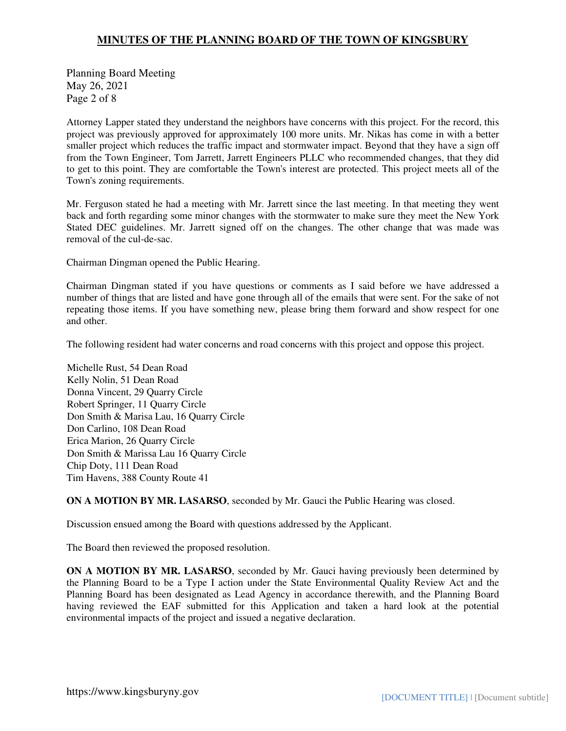Planning Board Meeting May 26, 2021 Page 2 of 8

Attorney Lapper stated they understand the neighbors have concerns with this project. For the record, this project was previously approved for approximately 100 more units. Mr. Nikas has come in with a better smaller project which reduces the traffic impact and stormwater impact. Beyond that they have a sign off from the Town Engineer, Tom Jarrett, Jarrett Engineers PLLC who recommended changes, that they did to get to this point. They are comfortable the Town's interest are protected. This project meets all of the Town's zoning requirements.

Mr. Ferguson stated he had a meeting with Mr. Jarrett since the last meeting. In that meeting they went back and forth regarding some minor changes with the stormwater to make sure they meet the New York Stated DEC guidelines. Mr. Jarrett signed off on the changes. The other change that was made was removal of the cul-de-sac.

Chairman Dingman opened the Public Hearing.

Chairman Dingman stated if you have questions or comments as I said before we have addressed a number of things that are listed and have gone through all of the emails that were sent. For the sake of not repeating those items. If you have something new, please bring them forward and show respect for one and other.

The following resident had water concerns and road concerns with this project and oppose this project.

Michelle Rust, 54 Dean Road Kelly Nolin, 51 Dean Road Donna Vincent, 29 Quarry Circle Robert Springer, 11 Quarry Circle Don Smith & Marisa Lau, 16 Quarry Circle Don Carlino, 108 Dean Road Erica Marion, 26 Quarry Circle Don Smith & Marissa Lau 16 Quarry Circle Chip Doty, 111 Dean Road Tim Havens, 388 County Route 41

**ON A MOTION BY MR. LASARSO**, seconded by Mr. Gauci the Public Hearing was closed.

Discussion ensued among the Board with questions addressed by the Applicant.

The Board then reviewed the proposed resolution.

**ON A MOTION BY MR. LASARSO**, seconded by Mr. Gauci having previously been determined by the Planning Board to be a Type I action under the State Environmental Quality Review Act and the Planning Board has been designated as Lead Agency in accordance therewith, and the Planning Board having reviewed the EAF submitted for this Application and taken a hard look at the potential environmental impacts of the project and issued a negative declaration.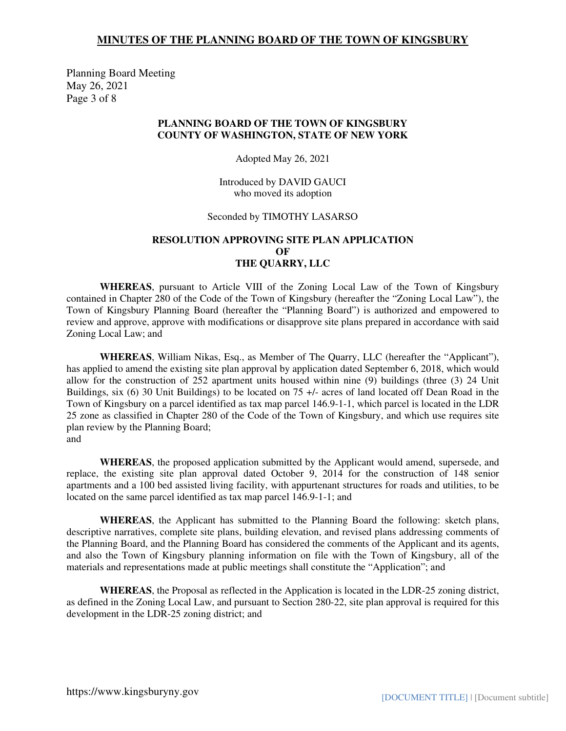Planning Board Meeting May 26, 2021 Page 3 of 8

### **PLANNING BOARD OF THE TOWN OF KINGSBURY COUNTY OF WASHINGTON, STATE OF NEW YORK**

Adopted May 26, 2021

Introduced by DAVID GAUCI who moved its adoption

#### Seconded by TIMOTHY LASARSO

### **RESOLUTION APPROVING SITE PLAN APPLICATION OF THE QUARRY, LLC**

**WHEREAS**, pursuant to Article VIII of the Zoning Local Law of the Town of Kingsbury contained in Chapter 280 of the Code of the Town of Kingsbury (hereafter the "Zoning Local Law"), the Town of Kingsbury Planning Board (hereafter the "Planning Board") is authorized and empowered to review and approve, approve with modifications or disapprove site plans prepared in accordance with said Zoning Local Law; and

**WHEREAS**, William Nikas, Esq., as Member of The Quarry, LLC (hereafter the "Applicant"), has applied to amend the existing site plan approval by application dated September 6, 2018, which would allow for the construction of 252 apartment units housed within nine (9) buildings (three (3) 24 Unit Buildings, six (6) 30 Unit Buildings) to be located on 75 +/- acres of land located off Dean Road in the Town of Kingsbury on a parcel identified as tax map parcel 146.9-1-1, which parcel is located in the LDR 25 zone as classified in Chapter 280 of the Code of the Town of Kingsbury, and which use requires site plan review by the Planning Board; and

 **WHEREAS**, the proposed application submitted by the Applicant would amend, supersede, and replace, the existing site plan approval dated October 9, 2014 for the construction of 148 senior apartments and a 100 bed assisted living facility, with appurtenant structures for roads and utilities, to be located on the same parcel identified as tax map parcel 146.9-1-1; and

**WHEREAS**, the Applicant has submitted to the Planning Board the following: sketch plans, descriptive narratives, complete site plans, building elevation, and revised plans addressing comments of the Planning Board, and the Planning Board has considered the comments of the Applicant and its agents, and also the Town of Kingsbury planning information on file with the Town of Kingsbury, all of the materials and representations made at public meetings shall constitute the "Application"; and

**WHEREAS**, the Proposal as reflected in the Application is located in the LDR-25 zoning district, as defined in the Zoning Local Law, and pursuant to Section 280-22, site plan approval is required for this development in the LDR-25 zoning district; and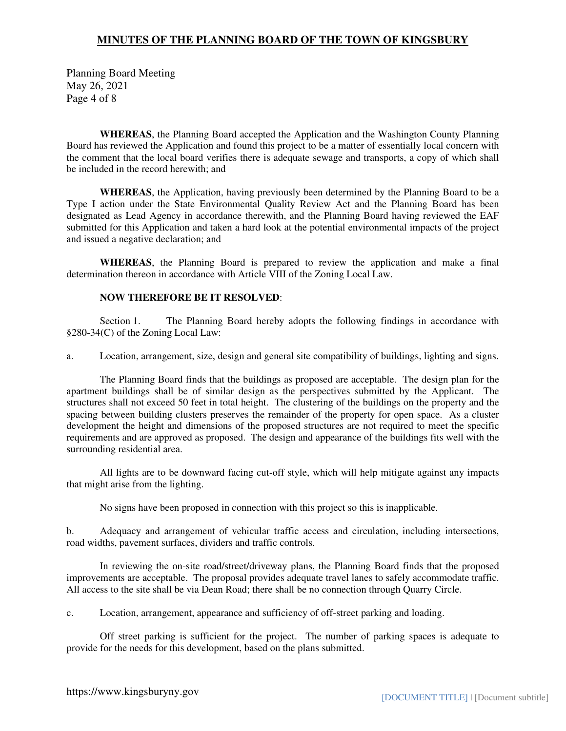Planning Board Meeting May 26, 2021 Page 4 of 8

**WHEREAS**, the Planning Board accepted the Application and the Washington County Planning Board has reviewed the Application and found this project to be a matter of essentially local concern with the comment that the local board verifies there is adequate sewage and transports, a copy of which shall be included in the record herewith; and

**WHEREAS**, the Application, having previously been determined by the Planning Board to be a Type I action under the State Environmental Quality Review Act and the Planning Board has been designated as Lead Agency in accordance therewith, and the Planning Board having reviewed the EAF submitted for this Application and taken a hard look at the potential environmental impacts of the project and issued a negative declaration; and

**WHEREAS**, the Planning Board is prepared to review the application and make a final determination thereon in accordance with Article VIII of the Zoning Local Law.

### **NOW THEREFORE BE IT RESOLVED**:

 Section 1. The Planning Board hereby adopts the following findings in accordance with §280-34(C) of the Zoning Local Law:

a. Location, arrangement, size, design and general site compatibility of buildings, lighting and signs.

 The Planning Board finds that the buildings as proposed are acceptable. The design plan for the apartment buildings shall be of similar design as the perspectives submitted by the Applicant. The structures shall not exceed 50 feet in total height. The clustering of the buildings on the property and the spacing between building clusters preserves the remainder of the property for open space. As a cluster development the height and dimensions of the proposed structures are not required to meet the specific requirements and are approved as proposed. The design and appearance of the buildings fits well with the surrounding residential area.

 All lights are to be downward facing cut-off style, which will help mitigate against any impacts that might arise from the lighting.

No signs have been proposed in connection with this project so this is inapplicable.

b. Adequacy and arrangement of vehicular traffic access and circulation, including intersections, road widths, pavement surfaces, dividers and traffic controls.

 In reviewing the on-site road/street/driveway plans, the Planning Board finds that the proposed improvements are acceptable. The proposal provides adequate travel lanes to safely accommodate traffic. All access to the site shall be via Dean Road; there shall be no connection through Quarry Circle.

c. Location, arrangement, appearance and sufficiency of off-street parking and loading.

 Off street parking is sufficient for the project. The number of parking spaces is adequate to provide for the needs for this development, based on the plans submitted.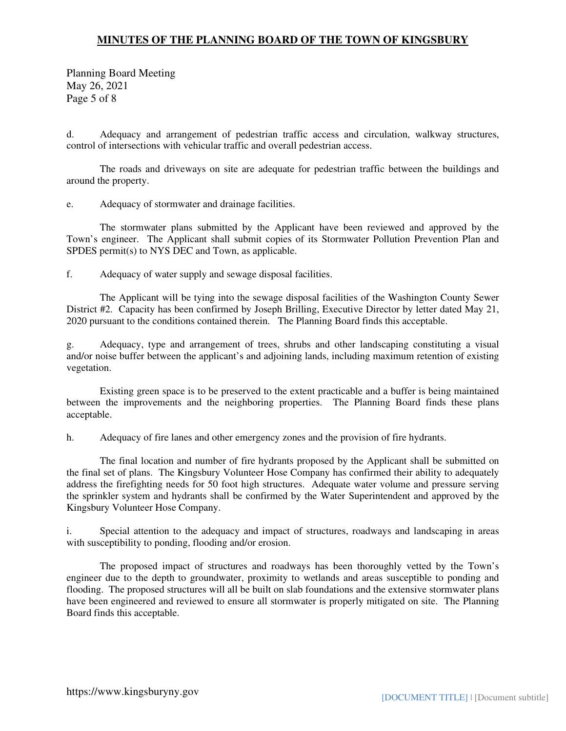Planning Board Meeting May 26, 2021 Page 5 of 8

d. Adequacy and arrangement of pedestrian traffic access and circulation, walkway structures, control of intersections with vehicular traffic and overall pedestrian access.

 The roads and driveways on site are adequate for pedestrian traffic between the buildings and around the property.

e. Adequacy of stormwater and drainage facilities.

 The stormwater plans submitted by the Applicant have been reviewed and approved by the Town's engineer. The Applicant shall submit copies of its Stormwater Pollution Prevention Plan and SPDES permit(s) to NYS DEC and Town, as applicable.

f. Adequacy of water supply and sewage disposal facilities.

 The Applicant will be tying into the sewage disposal facilities of the Washington County Sewer District #2. Capacity has been confirmed by Joseph Brilling, Executive Director by letter dated May 21, 2020 pursuant to the conditions contained therein. The Planning Board finds this acceptable.

g. Adequacy, type and arrangement of trees, shrubs and other landscaping constituting a visual and/or noise buffer between the applicant's and adjoining lands, including maximum retention of existing vegetation.

 Existing green space is to be preserved to the extent practicable and a buffer is being maintained between the improvements and the neighboring properties. The Planning Board finds these plans acceptable.

h. Adequacy of fire lanes and other emergency zones and the provision of fire hydrants.

 The final location and number of fire hydrants proposed by the Applicant shall be submitted on the final set of plans. The Kingsbury Volunteer Hose Company has confirmed their ability to adequately address the firefighting needs for 50 foot high structures. Adequate water volume and pressure serving the sprinkler system and hydrants shall be confirmed by the Water Superintendent and approved by the Kingsbury Volunteer Hose Company.

i. Special attention to the adequacy and impact of structures, roadways and landscaping in areas with susceptibility to ponding, flooding and/or erosion.

 The proposed impact of structures and roadways has been thoroughly vetted by the Town's engineer due to the depth to groundwater, proximity to wetlands and areas susceptible to ponding and flooding. The proposed structures will all be built on slab foundations and the extensive stormwater plans have been engineered and reviewed to ensure all stormwater is properly mitigated on site. The Planning Board finds this acceptable.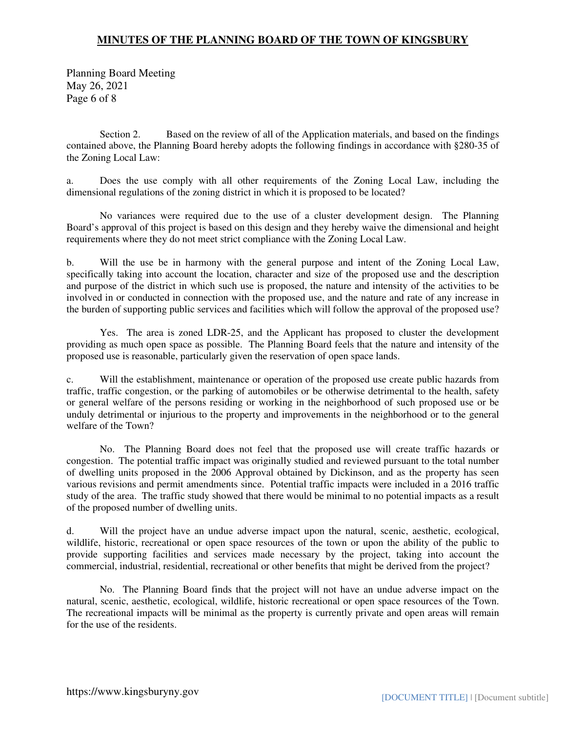Planning Board Meeting May 26, 2021 Page 6 of 8

 Section 2. Based on the review of all of the Application materials, and based on the findings contained above, the Planning Board hereby adopts the following findings in accordance with §280-35 of the Zoning Local Law:

a. Does the use comply with all other requirements of the Zoning Local Law, including the dimensional regulations of the zoning district in which it is proposed to be located?

 No variances were required due to the use of a cluster development design. The Planning Board's approval of this project is based on this design and they hereby waive the dimensional and height requirements where they do not meet strict compliance with the Zoning Local Law.

b. Will the use be in harmony with the general purpose and intent of the Zoning Local Law, specifically taking into account the location, character and size of the proposed use and the description and purpose of the district in which such use is proposed, the nature and intensity of the activities to be involved in or conducted in connection with the proposed use, and the nature and rate of any increase in the burden of supporting public services and facilities which will follow the approval of the proposed use?

 Yes. The area is zoned LDR-25, and the Applicant has proposed to cluster the development providing as much open space as possible. The Planning Board feels that the nature and intensity of the proposed use is reasonable, particularly given the reservation of open space lands.

c. Will the establishment, maintenance or operation of the proposed use create public hazards from traffic, traffic congestion, or the parking of automobiles or be otherwise detrimental to the health, safety or general welfare of the persons residing or working in the neighborhood of such proposed use or be unduly detrimental or injurious to the property and improvements in the neighborhood or to the general welfare of the Town?

 No. The Planning Board does not feel that the proposed use will create traffic hazards or congestion. The potential traffic impact was originally studied and reviewed pursuant to the total number of dwelling units proposed in the 2006 Approval obtained by Dickinson, and as the property has seen various revisions and permit amendments since. Potential traffic impacts were included in a 2016 traffic study of the area. The traffic study showed that there would be minimal to no potential impacts as a result of the proposed number of dwelling units.

d. Will the project have an undue adverse impact upon the natural, scenic, aesthetic, ecological, wildlife, historic, recreational or open space resources of the town or upon the ability of the public to provide supporting facilities and services made necessary by the project, taking into account the commercial, industrial, residential, recreational or other benefits that might be derived from the project?

 No. The Planning Board finds that the project will not have an undue adverse impact on the natural, scenic, aesthetic, ecological, wildlife, historic recreational or open space resources of the Town. The recreational impacts will be minimal as the property is currently private and open areas will remain for the use of the residents.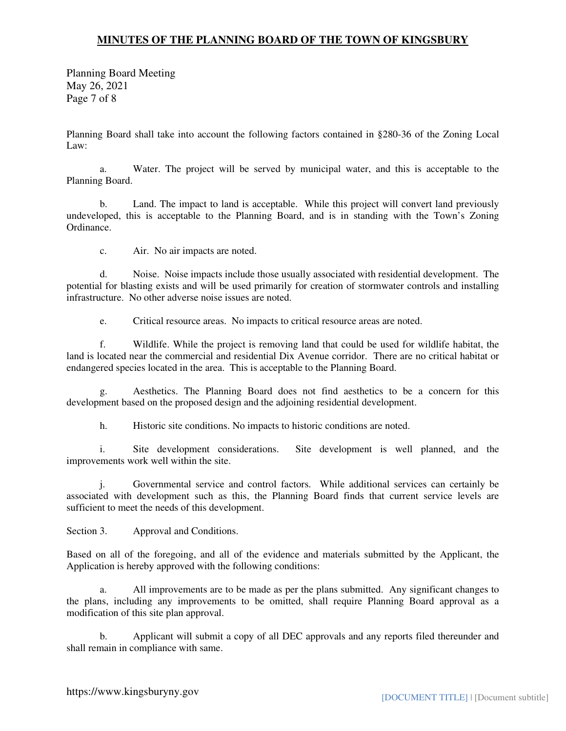Planning Board Meeting May 26, 2021 Page 7 of 8

Planning Board shall take into account the following factors contained in §280-36 of the Zoning Local Law:

 a. Water. The project will be served by municipal water, and this is acceptable to the Planning Board.

 b. Land. The impact to land is acceptable. While this project will convert land previously undeveloped, this is acceptable to the Planning Board, and is in standing with the Town's Zoning Ordinance.

c. Air. No air impacts are noted.

 d. Noise. Noise impacts include those usually associated with residential development. The potential for blasting exists and will be used primarily for creation of stormwater controls and installing infrastructure. No other adverse noise issues are noted.

e. Critical resource areas. No impacts to critical resource areas are noted.

 f. Wildlife. While the project is removing land that could be used for wildlife habitat, the land is located near the commercial and residential Dix Avenue corridor. There are no critical habitat or endangered species located in the area. This is acceptable to the Planning Board.

 g. Aesthetics. The Planning Board does not find aesthetics to be a concern for this development based on the proposed design and the adjoining residential development.

h. Historic site conditions. No impacts to historic conditions are noted.

 i. Site development considerations. Site development is well planned, and the improvements work well within the site.

 j. Governmental service and control factors. While additional services can certainly be associated with development such as this, the Planning Board finds that current service levels are sufficient to meet the needs of this development.

Section 3. Approval and Conditions.

Based on all of the foregoing, and all of the evidence and materials submitted by the Applicant, the Application is hereby approved with the following conditions:

 a. All improvements are to be made as per the plans submitted. Any significant changes to the plans, including any improvements to be omitted, shall require Planning Board approval as a modification of this site plan approval.

 b. Applicant will submit a copy of all DEC approvals and any reports filed thereunder and shall remain in compliance with same.